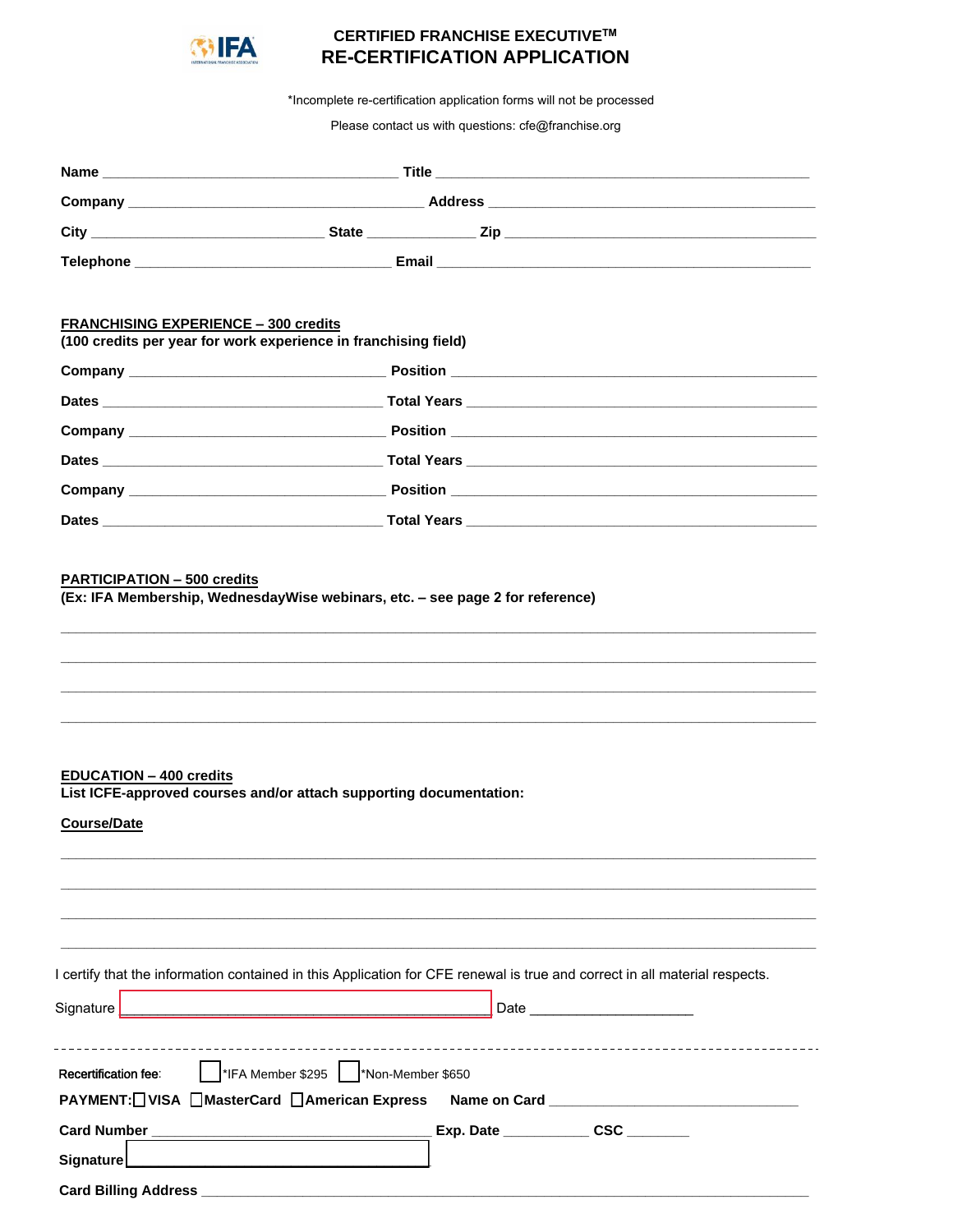

# **CERTIFIED FRANCHISE EXECUTIVE™ RE-CERTIFICATION APPLICATION**

\*Incomplete re-certification application forms will not be processed

Please contact us with questions: cfe@franchise.org

|                                                      | <b>Company Company Company Company Company Company Company Company Company Company Company Company Company Company</b>     |
|------------------------------------------------------|----------------------------------------------------------------------------------------------------------------------------|
|                                                      |                                                                                                                            |
|                                                      |                                                                                                                            |
|                                                      |                                                                                                                            |
| <b>FRANCHISING EXPERIENCE - 300 credits</b>          |                                                                                                                            |
|                                                      | (100 credits per year for work experience in franchising field)                                                            |
|                                                      |                                                                                                                            |
|                                                      |                                                                                                                            |
|                                                      |                                                                                                                            |
|                                                      |                                                                                                                            |
|                                                      |                                                                                                                            |
|                                                      |                                                                                                                            |
| <b>EDUCATION - 400 credits</b><br><b>Course/Date</b> | List ICFE-approved courses and/or attach supporting documentation:                                                         |
| Signature                                            | I certify that the information contained in this Application for CFE renewal is true and correct in all material respects. |
| Recertification fee:                                 | <sup>*</sup> IFA Member \$295   *Non-Member \$650                                                                          |
| PAYMENT: UISA MasterCard MAmerican Express           |                                                                                                                            |
|                                                      | Exp. Date ________________ CSC _________                                                                                   |
| <b>Signature</b>                                     |                                                                                                                            |
|                                                      |                                                                                                                            |